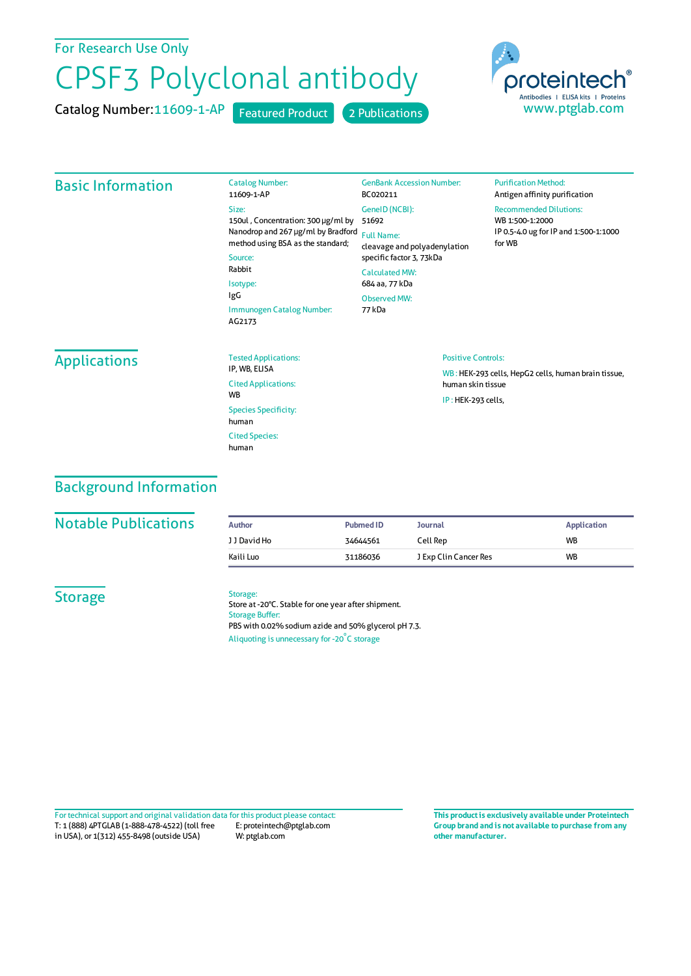# For Research Use Only

# CPSF3 Polyclonal antibody

Catalog Number:11609-1-AP Featured Product 2 Publications



## Basic Information

|       | <b>Catalog Number:</b><br>11609-1-AP                                               | <b>GenBank Accession Number</b><br>BC020211                                   |
|-------|------------------------------------------------------------------------------------|-------------------------------------------------------------------------------|
| Size: | 150ul, Concentration: 300 µg/ml by                                                 | GeneID (NCBI):<br>51692                                                       |
|       | Nanodrop and 267 µg/ml by Bradford<br>method using BSA as the standard;<br>Source: | <b>Full Name:</b><br>cleavage and polyadenylation<br>specific factor 3, 73kDa |
|       | Rabbit<br>Isotype:                                                                 | Calculated MW:<br>684 aa. 77 kDa                                              |
| IgG   | Immunogen Catalog Number:<br>AG2173                                                | Observed MW:<br>77 kDa                                                        |

#### **Purification Method:** Antigen affinity purification

Recommended Dilutions: WB 1:500-1:2000 IP 0.5-4.0 ug forIP and 1:500-1:1000 forWB

# **Applications**

| <b>Tested Applications:</b><br>IP. WB. ELISA       |
|----------------------------------------------------|
| <b>Cited Applications:</b><br><b>W<sub>R</sub></b> |
| <b>Species Specificity:</b><br>human               |
| <b>Cited Species:</b><br>human                     |

### Positive Controls:

WB : HEK-293 cells, HepG2 cells, human brain tissue, human skin tissue IP : HEK-293 cells,

# Background Information

## **Notable Publications**

| Author       | <b>Pubmed ID</b> | Journal               | Application |
|--------------|------------------|-----------------------|-------------|
| J J David Ho | 34644561         | Cell Rep              | <b>WB</b>   |
| Kaili Luo    | 31186036         | J Exp Clin Cancer Res | <b>WB</b>   |

# **Storage**

#### Storage:

Store at -20°C. Stable for one year after shipment. Storage Buffer: PBS with 0.02% sodium azide and 50% glycerol pH 7.3. Aliquoting is unnecessary for -20<sup>°</sup>C storage

T: 1 (888) 4PTGLAB (1-888-478-4522) (toll free in USA), or 1(312) 455-8498 (outside USA) E: proteintech@ptglab.com W: ptglab.com Fortechnical support and original validation data forthis product please contact: **This productis exclusively available under Proteintech**

**Group brand and is not available to purchase from any other manufacturer.**